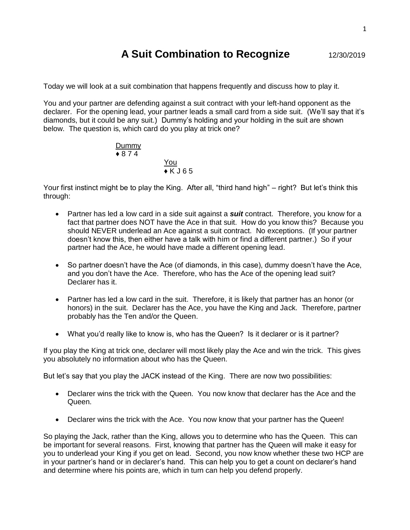## **A Suit Combination to Recognize** 12/30/2019

Today we will look at a suit combination that happens frequently and discuss how to play it.

You and your partner are defending against a suit contract with your left-hand opponent as the declarer. For the opening lead, your partner leads a small card from a side suit. (We'll say that it's diamonds, but it could be any suit.) Dummy's holding and your holding in the suit are shown below. The question is, which card do you play at trick one?

$$
\frac{\text{Dummy}}{\text{+}874}
$$
\n
$$
\frac{\text{You}}{\text{+}K\text{J}65}
$$

Your first instinct might be to play the King. After all, "third hand high" – right? But let's think this through:

- Partner has led a low card in a side suit against a *suit* contract. Therefore, you know for a fact that partner does NOT have the Ace in that suit. How do you know this? Because you should NEVER underlead an Ace against a suit contract. No exceptions. (If your partner doesn't know this, then either have a talk with him or find a different partner.) So if your partner had the Ace, he would have made a different opening lead.
- So partner doesn't have the Ace (of diamonds, in this case), dummy doesn't have the Ace, and you don't have the Ace. Therefore, who has the Ace of the opening lead suit? Declarer has it.
- Partner has led a low card in the suit. Therefore, it is likely that partner has an honor (or honors) in the suit. Declarer has the Ace, you have the King and Jack. Therefore, partner probably has the Ten and/or the Queen.
- What you'd really like to know is, who has the Queen? Is it declarer or is it partner?

If you play the King at trick one, declarer will most likely play the Ace and win the trick. This gives you absolutely no information about who has the Queen.

But let's say that you play the JACK instead of the King. There are now two possibilities:

- Declarer wins the trick with the Queen. You now know that declarer has the Ace and the Queen.
- Declarer wins the trick with the Ace. You now know that your partner has the Queen!

So playing the Jack, rather than the King, allows you to determine who has the Queen. This can be important for several reasons. First, knowing that partner has the Queen will make it easy for you to underlead your King if you get on lead. Second, you now know whether these two HCP are in your partner's hand or in declarer's hand. This can help you to get a count on declarer's hand and determine where his points are, which in turn can help you defend properly.